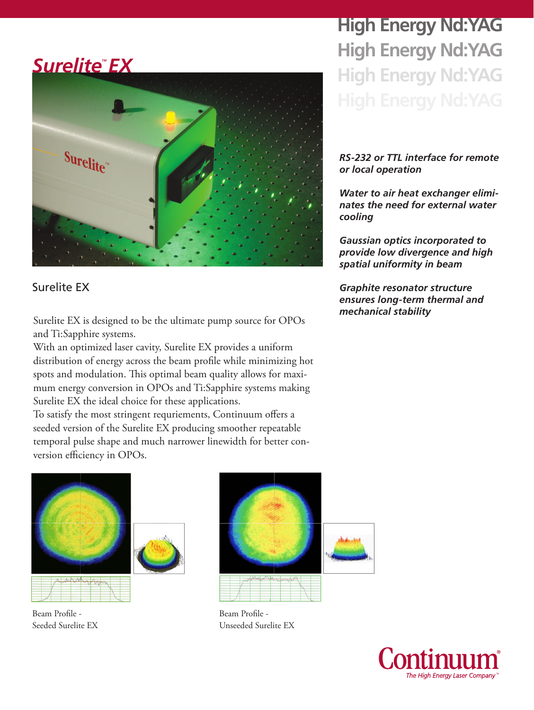## **Surelite<sup>®</sup>EX**



### Surelite EX

*mechanical stability* Surelite EX is designed to be the ultimate pump source for OPOs and Ti:Sapphire systems.

With an optimized laser cavity, Surelite EX provides a uniform distribution of energy across the beam profile while minimizing hot spots and modulation. This optimal beam quality allows for maximum energy conversion in OPOs and Ti:Sapphire systems making Surelite EX the ideal choice for these applications.

To satisfy the most stringent requriements, Continuum offers a seeded version of the Surelite EX producing smoother repeatable temporal pulse shape and much narrower linewidth for better conversion efficiency in OPOs.



Beam Profile - Seeded Surelite EX



Beam Profile - Unseeded Surelite EX

**High Energy Nd:YAG High Energy Nd:YAG High Energy Nd:YAG**

#### *RS-232 or TTL interface for remote or local operation*

*Water to air heat exchanger eliminates the need for external water cooling*

*Gaussian optics incorporated to provide low divergence and high spatial uniformity in beam*

*Graphite resonator structure ensures long-term thermal and* 

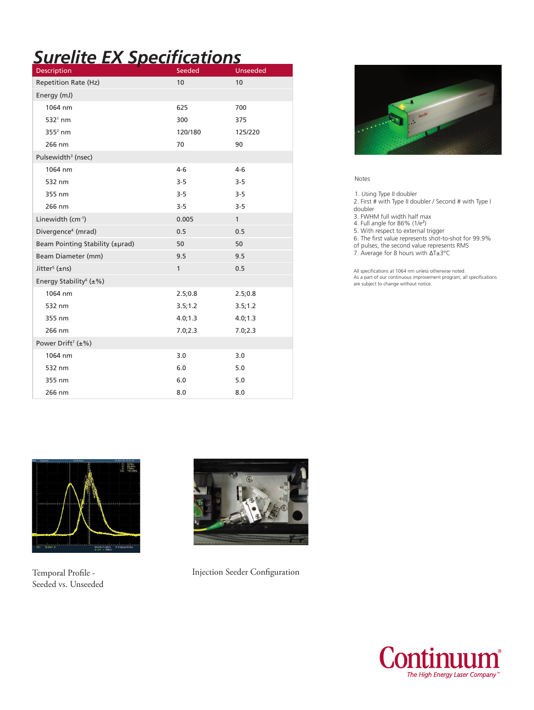# *Surelite EX Specifications*

| <b>Description</b>                   | Seeded       | <b>Unseeded</b> |
|--------------------------------------|--------------|-----------------|
| Repetition Rate (Hz)                 | 10           | 10              |
| Energy (mJ)                          |              |                 |
| 1064 nm                              | 625          | 700             |
| $5321$ nm                            | 300          | 375             |
| $3552$ nm                            | 120/180      | 125/220         |
| 266 nm                               | 70           | 90              |
| Pulsewidth <sup>3</sup> (nsec)       |              |                 |
| 1064 nm                              | $4-6$        | $4-6$           |
| 532 nm                               | $3 - 5$      | $3 - 5$         |
| 355 nm                               | $3 - 5$      | $3 - 5$         |
| 266 nm                               | $3 - 5$      | $3 - 5$         |
| Linewidth (cm-1)                     | 0.005        | $\mathbf{1}$    |
| Divergence <sup>4</sup> (mrad)       | 0.5          | 0.5             |
| Beam Pointing Stability (±µrad)      | 50           | 50              |
| Beam Diameter (mm)                   | 9.5          | 9.5             |
| Jitter <sup>5</sup> ( $\pm$ ns)      | $\mathbf{1}$ | 0.5             |
| Energy Stability <sup>6</sup> (±%)   |              |                 |
| 1064 nm                              | 2.5;0.8      | 2.5;0.8         |
| 532 nm                               | 3.5;1.2      | 3.5;1.2         |
| 355 nm                               | 4.0; 1.3     | 4.0; 1.3        |
| 266 nm                               | 7.0;2.3      | 7.0;2.3         |
| Power Drift <sup>7</sup> ( $\pm\%$ ) |              |                 |
| 1064 nm                              | 3.0          | 3.0             |
| 532 nm                               | 6.0          | 5.0             |
| 355 nm                               | 6.0          | 5.0             |
| 266 nm                               | 8.0          | 8.0             |



#### Notes

1. Using Type II doubler

- 2. First # with Type II doubler / Second # with Type I doubler
- 
- 3. FWHM full width half max 4. Full angle for 86% (1/e<sup>2</sup> )
- 5. With respect to external trigger
- 6. The first value represents shot-to-shot for 99.9%
- of pulses, the second value represents RMS
- 7. Average for 8 hours with ΔT±3°C

All specifications at 1064 nm unless otherwise noted. As a part of our continuous improvement program, all specifications are subject to change without notice.



Temporal Profile - Seeded vs. Unseeded



Injection Seeder Configuration